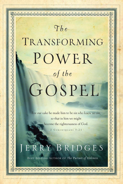# The TRANSFORMING POWER of the GOSPEL

<u>สำสั่งสำสั่งสำสั่งสำสั่งสำสั่งสำสั่งสำสั่งสำสั่งสำสั่งสำสั่งสำสั่งสำสั่ง</u>

For our sake he made him to be sin who knew no sin, so that in him we might become the righteousness of God. 2 CORINTHIANS 5:21

## ERRY BRIDGES

BEST-SELLING AUTHOR OF The Pursuit of Holiness

<u>ვტტებებდებდებ ტიზიზები</u>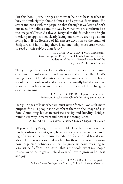"In this book, Jerry Bridges does what he does best: teaches us how to think rightly about holiness and spiritual formation. He starts and ends with the gospel so that through it we learn of both our need for holiness and the way by which we are conformed to the image of Christ. As always, Jerry takes this foundation of right thinking to application, clearly laying out how we are to go about living holy lives. Because of his sincere devotion to the study of Scripture and holy living, there is no one today more trustworthy to read on this subject than Jerry."

> —REVEREND WILLIAM VOGLER, pastor, Grace Evangelical Presbyterian Church, Lawrence, Kansas; moderator of the 27th General Assembly of the Evangelical Presbyterian Church

"Jerry Bridges has marvelously, attractively, and clearly communicated in this informative and inspirational treatise that God's saving grace in Christ invites us to come just as we are. This book should be not only read and absorbed personally but also used to share with others as an excellent instrument of life-changing disciple-making."

> —HARRY L. REEDER, III, pastor and teacher, Briarwood Presbyterian Church, Birmingham, Alabama

"Jerry Bridges tells us what we must never forget: God's ultimate purpose for His people is to conform them to the image of His Son. Combining his characteristic brevity and lucidity, Bridges reminds us why it matters and how it is accomplished."

—ALISTAIR BEGG, pastor, Parkside Church, Chagrin Falls, Ohio

"If you cut Jerry Bridges, he bleeds Bible. In a day when there is so much confusion about grace, Jerry shows how a true understanding of grace is the only sure foundation for spiritual transformation. This book is essential reading for those who want to know how to pursue holiness and live by grace without resorting to legalistic self-effort. As a pastor, this is the book I want my people to read in order to get a biblical view of how to grow in holiness and joy."

> —REVEREND MARK BATES, senior pastor, Village Seven Presbyterian Church, Colorado Springs, Colorado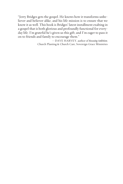"Jerry Bridges gets the gospel. He knows how it transforms unbeliever and believer alike, and his life mission is to ensure that we know it as well. This book is Bridges' latest installment exalting in a gospel that is both glorious and profoundly functional for everyday life. I'm grateful he's given us this gift, and I'm eager to pass it on to friends and family to encourage them."

> —DAVE HARVEY, author of *Rescuing Ambition*; Church Planting & Church Care, Sovereign Grace Ministries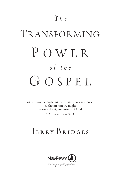#### *The*

# P OWER *of the* G OSPEL TRANSFORMING

For our sake he made him to be sin who knew no sin, so that in him we might become the righteousness of God.

2 Corinthians 5:21

### JERRY BRIDGES

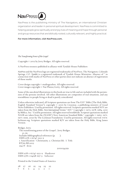

NavPress is the publishing ministry of The Navigators, an international Christian organization and leader in personal spiritual development. NavPress is committed to helping people grow spiritually and enjoy lives of meaning and hope through personal and group resources that are biblically rooted, culturally relevant, and highly practical.

**For more information, visit NavPress.com.** 

#### *The Transforming Power of the Gospel*

Copyright © 2012 by Jerry Bridges. All rights reserved.

A NavPress resource published in alliance with Tyndale House Publishers

*NavPress* and the NavPress logo are registered trademarks of NavPress, The Navigators, Colorado Springs, CO. *Tyndale* is a registered trademark of Tyndale House Ministries. Absence of ® in connection with marks of NavPress or other parties does not indicate an absence of registration of those marks.

Cover design copyright © studiogearbox. All rights reserved. Cover images copyright © Nat Photos/Getty. All rights reserved.

Some of the anecdotal illustrations in this book are true to life and are included with the permission of the persons involved. All other illustrations are composites of real situations, and any resemblance to people living or dead is purely coincidental.

Unless otherwise indicated, all Scripture quotations are from The ESV® Bible (The Holy Bible, English Standard Version®), copyright © 2001 by Crossway, a publishing ministry of Good News Publishers. Used by permission. All rights reserved. Scripture quotations marked NIV are taken from the Holy Bible, *New International Version*, ® *NIV*. ® Copyright © 1973, 1978, 1984, 2011 by Biblica, Inc.® Used by permission. All rights reserved worldwide. Scripture quotations marked NASB are taken from the (NASB®) New American Standard Bible,® copyright © 1960, 1971, 1977, 1995, 2020 by The Lockman Foundation. Used by permission. All rights reserved. www. lockman.org. Scripture quotations marked KJV are taken from the Holy Bible, King James Version.

Bridges, Jerry. The transforming power of the Gospel / Jerry Bridges. p. cm. Includes bibliographical references (p. ). ISBN 978-1-61747-922-9 1. Sanctification—Christianity. 2. Christian life. I. Title. BT765.B8 2012 234'.8—dc23

2011034259

ISBN 978-1-61747-922-9 Hardcover ISBN 978-1-64158-657-3 Softcover

Printed in the United States of America

28 27 26 25 24 23 22 7 6 5 4 3 2 1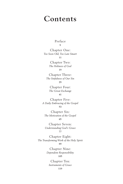### **Contents**

[Preface](#page-7-0) **9**

Chapter One: *[Too Soon Old, Too Late Smart](#page-9-0)* **11**

> Chapter Two: *The Holiness of God* **19**

Chapter Three: *The Sinfulness of Our Sin* **29**

> Chapter Four: *The Great Exchange* **41**

Chapter Five: *A Daily Embracing of the Gospel* **53**

Chapter Six: *The Motivation of the Gospel* **65**

Chapter Seven: *Understanding God's Grace* **77**

Chapter Eight: *The Transforming Work of the Holy Spirit* **89**

> Chapter Nine: *Dependent Responsibility* **105**

Chapter Ten: *Instruments of Grace* **119**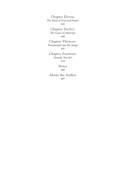Chapter Eleven: *The Word of God and Prayer* **131**

Chapter Twelve: *The Grace of Adversity* **145**

Chapter Thirteen: *Transformed into His Image* **157**

Chapter Fourteen: *Already, Not Yet!* **173**

> Notes **183**

About the Author **187**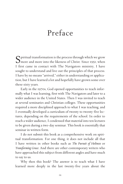## <span id="page-7-0"></span>Preface

Spiritual transformation is the process through which we grow more and more into the likeness of Christ. Since 1951, when I first came in contact with The Navigators ministry, I have sought to understand and live out the principles of that process. I have by no means "arrived," either in understanding or application, but I have learned a lot and hopefully have grown some over these sixty years.

Early in the 1970s, God opened opportunities to teach informally what I was learning, first with The Navigators and later to a wider audience in the United States. Then I was invited to teach at several seminaries and Christian colleges. These opportunities required a more disciplined approach to what I was teaching, and I eventually developed a curriculum of twenty to twenty-five lectures, depending on the requirements of the school. In order to reach a wider audience, I condensed that material into ten lectures to be given during a two-day seminar. This book is essentially that seminar in written form.

I do not submit this book as a comprehensive work on spiritual transformation. For one thing, it does not include all that I have written in other books such as *The Pursuit of Holiness* or *Transforming Grace*. And there are other contemporary writers who have approached this subject from different angles and have much to say to us.

Why then this book? The answer is to teach what I have learned more deeply in the last twenty-five years about the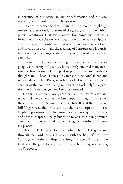importance of the gospel in our transformation and the vital necessity of the work of the Holy Spirit in the process.

I gladly acknowledge that I stand on the shoulders (though somewhat precariously) of some of the great giants of the faith of previous centuries. That is why you will find numerous quotations from them. I hope their words, in addition to the many Scriptures cited, will give you confidence that what I have written is not new and novel but is essentially the teaching of Scripture and is consistent with the teachings of these respected men of the last four centuries.

I want to acknowledge with gratitude the help of several people. First is my wife, Jane, who patiently endured many occasions of frustration as I struggled to put into concise words the thoughts in my head. Then Don Simpson, a personal friend and senior editor at NavPress, who has worked with me chapter by chapter as the book was being written with both helpful suggestions and the encouragement I so often needed.

Connie Trautman, my part-time administrative assistant, typed and retyped my handwritten copy into digital format on the computer. Bob Bevington, Chris Thifault, and the Reverend Bill Vogler read the initial draft of the manuscript and offered helpful suggestions. Bob also wrote the discussion questions at the end of each chapter. Finally, but by no means least in importance, a number of friends prayed for me during the months of the writing process.

Most of all, I thank God the Father who, by His grace and through the Lord Jesus Christ and with the help of the Holy Spirit, gave me the privilege of writing this book. To the triune God be all the glory for any usefulness this book may have among God's people.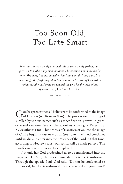## <span id="page-9-0"></span>Too Soon Old, Too Late Smart

*Not that I have already obtained this or am already perfect, but I press on to make it my own, because Christ Jesus has made me his own. Brothers, I do not consider that I have made it my own. But one thing I do: forgetting what lies behind and straining forward to what lies ahead, I press on toward the goal for the prize of the upward call of God in Christ Jesus.*

PHILIPPIANS 3:12-14

 $\bigcap$  od has predestined all believers to be conformed to the image  $\mathbf J$  of His Son (see Romans 8:29). The process toward that goal is called by various names such as sanctification, growth in grace, or transformation (see 1 Thessalonians 5:23-24; 2 Peter 3:18; 2 Corinthians 3:18). This process of transformation into the image of Christ begins at our new birth (see John 3:3-5) and continues until we die and enter into the presence of the Lord. At that time, according to Hebrews 12:23, our spirits will be made perfect. The transformation process will be completed.

Not only has God predestined us to be transformed into the image of His Son, He has commanded us to be transformed. Through the apostle Paul, God said, "Do not be conformed to this world, but be transformed by the renewal of your mind"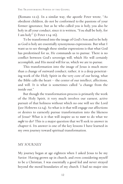(Romans 12:2). In a similar way, the apostle Peter wrote, "As obedient children, do not be conformed to the passions of your former ignorance, but as he who called you is holy, you also be holy in all your conduct, since it is written, 'You shall be holy, for I am holy'" (1 Peter 1:14-16).

To be transformed into the image of God's Son and to be holy as God is holy are essentially synonymous expressions. But what I want us to see through these similar expressions is that what God has predestined for us, He commands us to pursue. There is no conflict between God's sovereign will, which He will certainly accomplish, and His moral will for us, which we are to pursue.

This transformation into the image of Jesus is much more than a change of outward conduct; rather, it is a deep penetrating work of the Holy Spirit in the very core of our being, what the Bible calls the heart  $-$  the center of our intellect, affections, and will. It is what is sometimes called "a change from the inside out."

But though the transformation process is primarily the work of the Holy Spirit, it very much involves our earnest, active pursuit of that holiness without which no one will see the Lord (see Hebrews 12:14). So what is it that will engage our affections or desires to earnestly pursue transformation into the likeness of Jesus? What is it that will inspire us to *want* to do what we *ought* to do? This is a major question that we'll seek to answer in chapter 6. Its answer is one of the key lessons I have learned in my own journey toward spiritual transformation.

#### MY JOURNEY

My journey began at age eighteen when I asked Jesus to be my Savior. Having grown up in church, and even considering myself to be a Christian, I was essentially a good kid and never strayed beyond the moral boundaries of my church. I had no major sins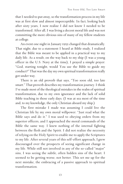that I needed to put away, so the transformation process in my life was at first slow and almost imperceptible. In fact, looking back after sixty years, I now realize I did not know I needed to be transformed. After all, I was living a decent moral life and was not committing the more obvious sins of many of my fellow students at college.

An event one night in January 1952 changed that dramatically. That night, due to a statement I heard at Bible study, I realized that the Bible was meant to be applied in a practical way to my daily life. As a result, on the way back to my ship (I was a young officer in the U.S. Navy at the time), I prayed a simple prayer: "God, starting tonight, would You use the Bible to guide my conduct?" That was the day my own spiritual transformation really got under way.

There is an old proverb that says, "Too soon old, too late smart." That proverb describes my transformation journey. I think I've made most of the theological mistakes in the realm of spiritual transformation, due to my own ignorance and the lack of solid Bible teaching in those early days. (I was at sea most of the time and, to my knowledge, the only Christian aboard my ship.)

The first mistake I made was assuming I could live the Christian life by my own moral willpower. "Just read what the Bible says and do it." I was used to obeying orders from my superior officers, and I approached the moral commands of the Bible the same way. I knew nothing of the internal fighting between the flesh and the Spirit. I did not realize the necessity of relying on the Holy Spirit to enable me to apply the Scriptures to my life. After several years of this self-effort approach, I grew discouraged over the prospects of seeing significant change in my life. While still not involved in any of the so-called "major" sins, I was seeing the subtle, often hidden sins of the heart. I seemed to be getting worse, not better. This set me up for the next mistake, the embracing of a passive approach to spiritual transformation.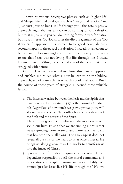Known by various descriptive phrases such as "higher life" and "deeper life" and by slogans such as "Let go and let God" and "Just trust Jesus to live His life through you," this totally passive approach taught that just as you can do nothing for your salvation but trust in Jesus, so you can do nothing for your transformation but trust in Jesus. Obviously after the discouragement of the "Do it yourself" approach, this seemed to be good news, almost a second chapter to the gospel of salvation. Instead it turned out to be even more discouraging because over time it was quite obvious to me that Jesus was not living His life through me. Instead I found myself battling the same old sins of the heart that I had struggled with before.

God in His mercy rescued me from this passive approach and enabled me to see what I now believe to be the biblical approach, and of course that is what this book is all about. But in the course of those years of struggle, I learned three valuable lessons:

- 1. The internal warfare between the flesh and the Spirit that Paul described in Galatians 5:17 is the normal Christian life. Regardless of how much we grow spiritually, we will all our lives experience the conflict between the desires of the flesh and the desires of the Spirit.
- 2. The more we grow in Christlikeness, the more sin we will see in our lives. It isn't that we are sinning more; rather we are growing more aware of and more sensitive to sin that has been there all along. The Holy Spirit does not reveal all our sins of the heart to us at once. Instead He brings us along gradually as He works to transform us into the image of Christ.
- 3. Spiritual transformation requires of us what I call dependent responsibility. All the moral commands and exhortations of Scripture assume our responsibility. We cannot "just let Jesus live His life through me." No, we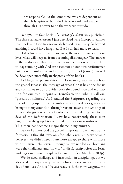are responsible. At the same time, we are dependent on the Holy Spirit to both do His own work and enable us through His power to do the work we must do.

In 1978, my first book, *The Pursuit of Holiness*, was published. The three valuable lessons I just described were incorporated into that book, and God has graciously blessed its ministry far beyond anything I could have imagined. But I still had more to learn.

If it is true that the more we grow, the more sin we see in our lives, what will keep us from becoming discouraged? The answer is the realization that both our eternal salvation and our dayto-day standing with God are based not on our own performance but upon the sinless life and sin-bearing death of Jesus. (This will be developed more fully in chapter 5 of this book.)

As I began to pursue this truth, I saw to a greater extent how the gospel (that is, the message of what Christ has done for us and continues to do) provides both the foundation and motivation for our role in spiritual transformation, what I call our "pursuit of holiness." As I studied the Scriptures regarding the role of the gospel in our transformation, God also graciously brought to my attention, through various means, the writings of some of the great teachers of earlier centuries, dating back to the days of the Reformation. I saw how consistently these men taught that the gospel is the foundation for our transformation. This, then, has become a major theme in my ministry.

Before I understood the gospel's important role in our transformation, I thought it was only for unbelievers. Once we became believers, we didn't need it anymore except to share with those who still were unbelievers. I thought all we needed as Christians were the challenges and "how to" of discipleship. After all, Jesus said to go and make disciples of all nations (see Matthew 28:19).

We do need challenge and instruction in discipleship, but we also need the gospel every day in our lives because we still sin every day of our lives. And, as I have already said, the more we grow, the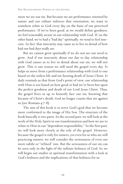more we see our sin. But because we are performance oriented by nature and our culture enforces that orientation, we want to somehow relate to God every day on the basis of our perceived performance. If we've been good, as we would define goodness, we feel reasonably secure in our relationship with God. If, on the other hand, we've had a "bad day" spiritually, we tend to feel insecure. In fact, that insecurity may cause us to live in denial of how bad our bad days really are.

But we cannot grow spiritually if we do not see our need to grow. And if our insecurity about our day-to-day relationship with God causes us to live in denial about our sin, we will not grow. This is one reason we still need the gospel every day. It helps us move from a performance relationship with God to one based on the sinless life and sin-bearing death of Jesus Christ. It daily reminds us that from God's point of view, our relationship with Him is not based on how good or bad we've been but upon the perfect goodness and death of our Lord Jesus Christ. Thus, the gospel frees us up to honestly face our sin, knowing that because of Christ's death, God no longer counts that sin against us (see Romans 4:7-8).

The aim of this book is to serve God's goal that we become more conformed to the image of His Son. The structure of the book basically is two parts. In the second part, we will look at the work of the Holy Spirit in our transformation and how we are to relate to Him in our "dependent responsibility." In the first part, we will look more closely at the role of the gospel. However, because the gospel is only for sinners, yes even for us who are still practicing sinners, we will consider the seriousness of even our more subtle or "refined" sins. But the seriousness of our sin can be seen only in the light of the infinite holiness of God. So we will begin our studies in spiritual transformation with a look at God's holiness and the implications of that holiness for us.